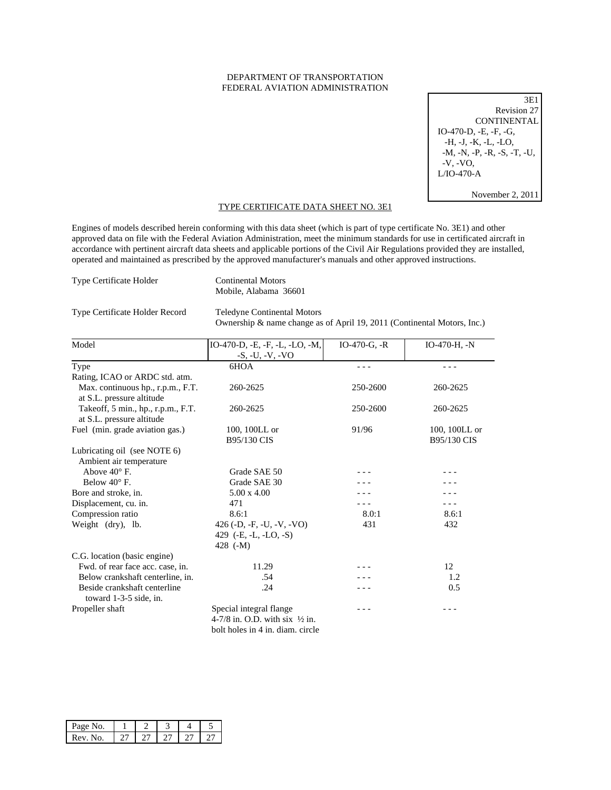## DEPARTMENT OF TRANSPORTATION FEDERAL AVIATION ADMINISTRATION

3E1 Revision 27 **CONTINENTAL**  IO-470-D, -E, -F, -G, -H, -J, -K, -L, -LO, -M, -N, -P, -R, -S, -T, -U, -V, -VO, L/IO-470-A

November 2, 2011

## TYPE CERTIFICATE DATA SHEET NO. 3E1

Engines of models described herein conforming with this data sheet (which is part of type certificate No. 3E1) and other approved data on file with the Federal Aviation Administration, meet the minimum standards for use in certificated aircraft in accordance with pertinent aircraft data sheets and applicable portions of the Civil Air Regulations provided they are installed, operated and maintained as prescribed by the approved manufacturer's manuals and other approved instructions.

| <b>Type Certificate Holder</b> |  |
|--------------------------------|--|
|                                |  |

Type Certificate Holder Continental Motors Mobile, Alabama 36601

Type Certificate Holder Record Teledyne Continental Motors

Ownership & name change as of April 19, 2011 (Continental Motors, Inc.)

| Model                                                           | IO-470-D, -E, -F, -L, -LO, -M,                                                                           | IO-470-G, $-R$ | $IO-470-H, -N$ |
|-----------------------------------------------------------------|----------------------------------------------------------------------------------------------------------|----------------|----------------|
|                                                                 | $-S, -U, -V, -VO$                                                                                        |                |                |
| Type                                                            | 6HOA                                                                                                     |                |                |
| Rating, ICAO or ARDC std. atm.                                  |                                                                                                          |                |                |
| Max. continuous hp., r.p.m., F.T.<br>at S.L. pressure altitude  | 260-2625                                                                                                 | 250-2600       | 260-2625       |
| Takeoff, 5 min., hp., r.p.m., F.T.<br>at S.L. pressure altitude | 260-2625                                                                                                 | 250-2600       | 260-2625       |
| Fuel (min. grade aviation gas.)                                 | 100, 100LL or                                                                                            | 91/96          | 100, 100LL or  |
|                                                                 | B95/130 CIS                                                                                              |                | B95/130 CIS    |
| Lubricating oil (see NOTE 6)<br>Ambient air temperature         |                                                                                                          |                |                |
| Above $40^{\circ}$ F.                                           | Grade SAE 50                                                                                             |                |                |
| Below $40^{\circ}$ F.                                           | Grade SAE 30                                                                                             |                |                |
| Bore and stroke, in.                                            | $5.00 \times 4.00$                                                                                       |                |                |
| Displacement, cu. in.                                           | 471                                                                                                      |                |                |
| Compression ratio                                               | 8.6:1                                                                                                    | 8.0:1          | 8.6:1          |
| Weight (dry), lb.                                               | 426 (-D, -F, -U, -V, -VO)<br>429 $(-E, -L, -LO, -S)$<br>428 $(-M)$                                       | 431            | 432            |
| C.G. location (basic engine)                                    |                                                                                                          |                |                |
| Fwd. of rear face acc. case, in.                                | 11.29                                                                                                    |                | 12             |
| Below crankshaft centerline, in.                                | .54                                                                                                      |                | 1.2            |
| Beside crankshaft centerline<br>toward 1-3-5 side, in.          | .24                                                                                                      |                | 0.5            |
| Propeller shaft                                                 | Special integral flange<br>4-7/8 in. O.D. with six $\frac{1}{2}$ in.<br>bolt holes in 4 in. diam. circle | - - -          |                |

| Page No.     |  |  |  |
|--------------|--|--|--|
| Rev N<br>lo. |  |  |  |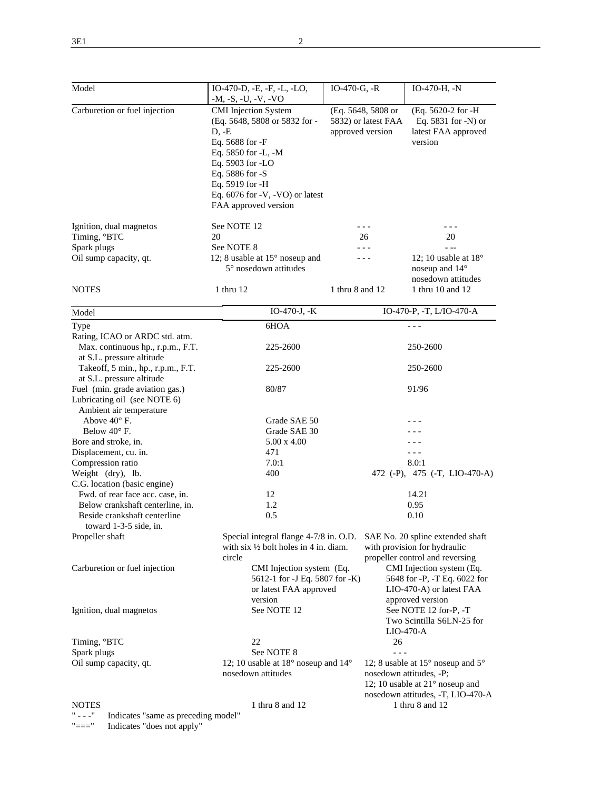| Model                                                                                                | IO-470-D, -E, -F, -L, -LO,                                       | $IO-470-G, -R$                                              | IO-470-H, -N                                                 |  |
|------------------------------------------------------------------------------------------------------|------------------------------------------------------------------|-------------------------------------------------------------|--------------------------------------------------------------|--|
| Carburetion or fuel injection                                                                        | $-M, -S, -U, -V, -VO$<br><b>CMI</b> Injection System             | (Eq. 5648, 5808 or                                          | (Eq. 5620-2 for -H                                           |  |
|                                                                                                      | (Eq. 5648, 5808 or 5832 for -                                    | 5832) or latest FAA                                         | Eq. 5831 for -N) or                                          |  |
|                                                                                                      | $D, -E$                                                          | approved version                                            | latest FAA approved                                          |  |
|                                                                                                      | Eq. 5688 for -F<br>Eq. 5850 for -L, -M                           |                                                             | version                                                      |  |
|                                                                                                      | Eq. 5903 for -LO                                                 |                                                             |                                                              |  |
|                                                                                                      | Eq. 5886 for -S                                                  |                                                             |                                                              |  |
|                                                                                                      | Eq. 5919 for -H                                                  |                                                             |                                                              |  |
|                                                                                                      | Eq. $6076$ for $-V$ , $-VO$ ) or latest                          |                                                             |                                                              |  |
|                                                                                                      | FAA approved version                                             |                                                             |                                                              |  |
| Ignition, dual magnetos                                                                              | See NOTE 12                                                      | - - -                                                       |                                                              |  |
| Timing, °BTC                                                                                         | 20                                                               | 26                                                          | 20                                                           |  |
| Spark plugs                                                                                          | See NOTE 8                                                       |                                                             |                                                              |  |
| Oil sump capacity, qt.                                                                               | 12; 8 usable at $15^{\circ}$ noseup and<br>5° nosedown attitudes | - - -                                                       | 12; 10 usable at $18^\circ$<br>noseup and 14°                |  |
|                                                                                                      |                                                                  |                                                             | nosedown attitudes                                           |  |
| <b>NOTES</b>                                                                                         | 1 thru 12                                                        | 1 thru 8 and 12                                             | 1 thru 10 and 12                                             |  |
| Model                                                                                                | $IO-470-J, -K$                                                   |                                                             | IO-470-P, -T, L/IO-470-A                                     |  |
| Type                                                                                                 | 6HOA                                                             |                                                             | $- - -$                                                      |  |
| Rating, ICAO or ARDC std. atm.                                                                       |                                                                  |                                                             |                                                              |  |
| Max. continuous hp., r.p.m., F.T.                                                                    | 225-2600                                                         |                                                             | 250-2600                                                     |  |
| at S.L. pressure altitude<br>Takeoff, 5 min., hp., r.p.m., F.T.                                      | 225-2600                                                         |                                                             | 250-2600                                                     |  |
| at S.L. pressure altitude                                                                            |                                                                  |                                                             |                                                              |  |
| Fuel (min. grade aviation gas.)                                                                      | 80/87                                                            |                                                             | 91/96                                                        |  |
| Lubricating oil (see NOTE 6)                                                                         |                                                                  |                                                             |                                                              |  |
| Ambient air temperature                                                                              |                                                                  |                                                             |                                                              |  |
| Above $40^{\circ}$ F.                                                                                | Grade SAE 50                                                     |                                                             |                                                              |  |
| Below $40^{\circ}$ F.                                                                                | Grade SAE 30                                                     |                                                             |                                                              |  |
| Bore and stroke, in.                                                                                 | 5.00 x 4.00                                                      |                                                             |                                                              |  |
| Displacement, cu. in.                                                                                | 471<br>7.0:1                                                     |                                                             | 8.0:1                                                        |  |
| Compression ratio<br>Weight (dry), lb.                                                               | 400                                                              |                                                             | 472 (-P), 475 (-T, LIO-470-A)                                |  |
| C.G. location (basic engine)                                                                         |                                                                  |                                                             |                                                              |  |
| Fwd. of rear face acc. case, in.                                                                     | 12                                                               |                                                             | 14.21                                                        |  |
| Below crankshaft centerline, in.                                                                     | 1.2                                                              |                                                             | 0.95                                                         |  |
| Beside crankshaft centerline                                                                         | 0.5                                                              |                                                             | 0.10                                                         |  |
| toward 1-3-5 side, in.                                                                               |                                                                  |                                                             |                                                              |  |
| Propeller shaft                                                                                      | Special integral flange 4-7/8 in. O.D.                           |                                                             | SAE No. 20 spline extended shaft                             |  |
|                                                                                                      | with six $\frac{1}{2}$ bolt holes in 4 in. diam.                 |                                                             | with provision for hydraulic                                 |  |
|                                                                                                      | circle                                                           |                                                             | propeller control and reversing                              |  |
| Carburetion or fuel injection                                                                        |                                                                  | CMI Injection system (Eq.<br>5612-1 for -J Eq. 5807 for -K) | CMI Injection system (Eq.<br>5648 for -P, -T Eq. 6022 for    |  |
|                                                                                                      | or latest FAA approved                                           |                                                             | LIO-470-A) or latest FAA                                     |  |
|                                                                                                      | version                                                          |                                                             | approved version                                             |  |
| Ignition, dual magnetos                                                                              | See NOTE 12                                                      |                                                             | See NOTE 12 for-P, -T                                        |  |
|                                                                                                      |                                                                  |                                                             | Two Scintilla S6LN-25 for                                    |  |
|                                                                                                      |                                                                  |                                                             | $LIO-470-A$                                                  |  |
| Timing, °BTC                                                                                         | 22                                                               | 26                                                          |                                                              |  |
| Spark plugs                                                                                          | See NOTE 8                                                       | $- - -$                                                     |                                                              |  |
| Oil sump capacity, qt.                                                                               | 12; 10 usable at 18° noseup and 14°                              |                                                             | 12; 8 usable at $15^{\circ}$ noseup and $5^{\circ}$          |  |
|                                                                                                      | nosedown attitudes                                               |                                                             | nosedown attitudes, -P;                                      |  |
|                                                                                                      |                                                                  |                                                             | 12; 10 usable at 21° noseup and                              |  |
| <b>NOTES</b>                                                                                         | 1 thru 8 and 12                                                  |                                                             | nosedown attitudes, -T, LIO-470-A<br>$1$ thru $8$ and $12\,$ |  |
| $\overline{\phantom{a}}$ = = = $\overline{\phantom{a}}^{\,0}$<br>Indicates "same as preceding model" |                                                                  |                                                             |                                                              |  |
|                                                                                                      |                                                                  |                                                             |                                                              |  |

"===" Indicates "does not apply"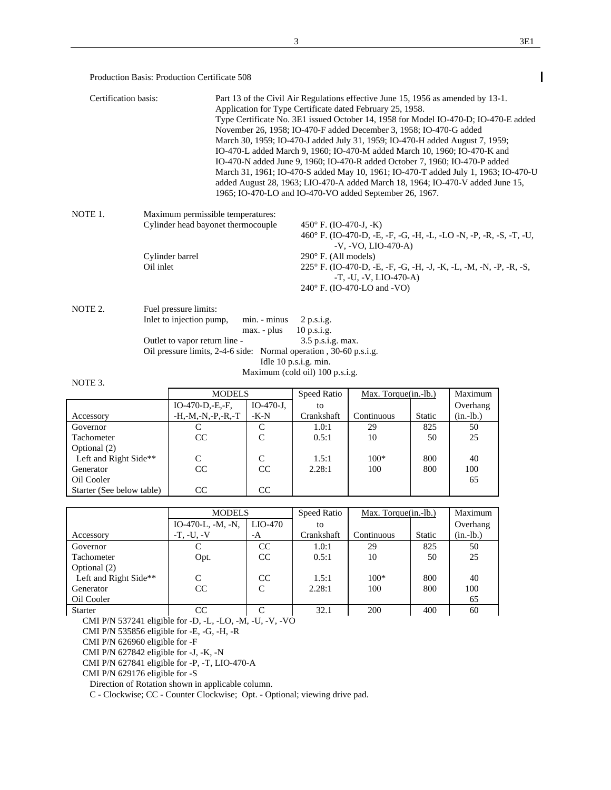$\overline{\phantom{a}}$ 

Production Basis: Production Certificate 508

| Certification basis: |                                                                                                                                                                                        | Part 13 of the Civil Air Regulations effective June 15, 1956 as amended by 13-1.<br>Application for Type Certificate dated February 25, 1958.<br>Type Certificate No. 3E1 issued October 14, 1958 for Model IO-470-D; IO-470-E added<br>November 26, 1958; IO-470-F added December 3, 1958; IO-470-G added<br>March 30, 1959; IO-470-J added July 31, 1959; IO-470-H added August 7, 1959;<br>IO-470-L added March 9, 1960; IO-470-M added March 10, 1960; IO-470-K and<br>IO-470-N added June 9, 1960; IO-470-R added October 7, 1960; IO-470-P added<br>March 31, 1961; IO-470-S added May 10, 1961; IO-470-T added July 1, 1963; IO-470-U<br>added August 28, 1963; LIO-470-A added March 18, 1964; IO-470-V added June 15,<br>1965; IO-470-LO and IO-470-VO added September 26, 1967. |
|----------------------|----------------------------------------------------------------------------------------------------------------------------------------------------------------------------------------|-------------------------------------------------------------------------------------------------------------------------------------------------------------------------------------------------------------------------------------------------------------------------------------------------------------------------------------------------------------------------------------------------------------------------------------------------------------------------------------------------------------------------------------------------------------------------------------------------------------------------------------------------------------------------------------------------------------------------------------------------------------------------------------------|
| NOTE 1.              | Maximum permissible temperatures:<br>Cylinder head bayonet thermocouple<br>Cylinder barrel<br>Oil inlet                                                                                | 450 $\degree$ F. (IO-470-J, -K)<br>460° F. (IO-470-D, -E, -F, -G, -H, -L, -LO -N, -P, -R, -S, -T, -U,<br>$-V. -VO. LIO-470-A)$<br>$290^\circ$ F. (All models)<br>225° F. (IO-470-D, -E, -F, -G, -H, -J, -K, -L, -M, -N, -P, -R, -S,<br>$-T, -U, -V, LIO-470-A$<br>240° F. (IO-470-LO and -VO)                                                                                                                                                                                                                                                                                                                                                                                                                                                                                             |
| NOTE 2.              | Fuel pressure limits:<br>Inlet to injection pump,<br>min. - minus<br>max. - plus<br>Outlet to vapor return line -<br>Oil pressure limits, 2-4-6 side: Normal operation, 30-60 p.s.i.g. | $2$ p.s.i.g.<br>$10$ p.s.i.g.<br>$3.5$ p.s.i.g. max.<br>Idle 10 p.s.i.g. min.<br>Maximum (cold oil) 100 p.s.i.g.                                                                                                                                                                                                                                                                                                                                                                                                                                                                                                                                                                                                                                                                          |
| NOTE 3.              |                                                                                                                                                                                        |                                                                                                                                                                                                                                                                                                                                                                                                                                                                                                                                                                                                                                                                                                                                                                                           |

|                           | <b>MODELS</b>            |             | Speed Ratio | Max. Torque(in.-lb.) |               | Maximum     |
|---------------------------|--------------------------|-------------|-------------|----------------------|---------------|-------------|
|                           | $IO-470-D,-E,-F,$        | $IO-470-J.$ | to          |                      |               | Overhang    |
| Accessory                 | $-H, -M, -N, -P, -R, -T$ | $-K-N$      | Crankshaft  | Continuous           | <b>Static</b> | $(in.-lb.)$ |
| Governor                  |                          | C           | 1.0:1       | 29                   | 825           | 50          |
| <b>Tachometer</b>         | CC                       | C           | 0.5:1       | 10                   | 50            | 25          |
| Optional (2)              |                          |             |             |                      |               |             |
| Left and Right Side**     | C                        | C           | 1.5:1       | $100*$               | 800           | 40          |
| Generator                 | CC                       | CC          | 2.28:1      | 100                  | 800           | 100         |
| Oil Cooler                |                          |             |             |                      |               | 65          |
| Starter (See below table) | CC                       | CC          |             |                      |               |             |

|                       | <b>MODELS</b>       |          | Speed Ratio | $Max. Torque(in.-lb.)$ |               | Maximum     |
|-----------------------|---------------------|----------|-------------|------------------------|---------------|-------------|
|                       | $IO-470-L, -M, -N,$ | LIO-470  | to          |                        |               | Overhang    |
| Accessory             | $-T. -U. -V$        | $-A$     | Crankshaft  | Continuous             | <b>Static</b> | $(in.-lb.)$ |
| Governor              |                     | CC       | 1.0:1       | 29                     | 825           | 50          |
| Tachometer            | Opt.                | CC       | 0.5:1       | 10                     | 50            | 25          |
| Optional (2)          |                     |          |             |                        |               |             |
| Left and Right Side** |                     | CC       | 1.5:1       | $100*$                 | 800           | 40          |
| Generator             | CC                  | C        | 2.28:1      | 100                    | 800           | 100         |
| Oil Cooler            |                     |          |             |                        |               | 65          |
| <b>Starter</b>        | CC                  | $\Gamma$ | 32.1        | 200                    | 400           | 60          |

CMI P/N 537241 eligible for -D, -L, -LO, -M, -U, -V, -VO

CMI P/N 535856 eligible for -E, -G, -H, -R

CMI P/N 626960 eligible for -F

CMI P/N 627842 eligible for -J, -K, -N

CMI P/N 627841 eligible for -P, -T, LIO-470-A

CMI P/N 629176 eligible for -S

Direction of Rotation shown in applicable column.

C - Clockwise; CC - Counter Clockwise; Opt. - Optional; viewing drive pad.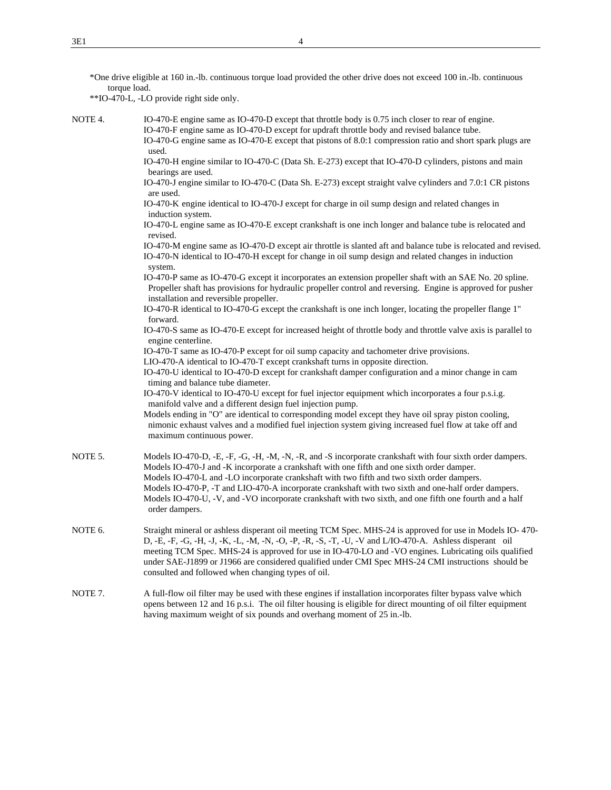| *One drive eligible at 160 in.-lb. continuous torque load provided the other drive does not exceed 100 in.-lb. continuous |  |  |
|---------------------------------------------------------------------------------------------------------------------------|--|--|
| torque load.                                                                                                              |  |  |

\*\*IO-470-L, -LO provide right side only.

NOTE 4. IO-470-E engine same as IO-470-D except that throttle body is 0.75 inch closer to rear of engine. IO-470-F engine same as IO-470-D except for updraft throttle body and revised balance tube. IO-470-G engine same as IO-470-E except that pistons of 8.0:1 compression ratio and short spark plugs are

> used. IO-470-H engine similar to IO-470-C (Data Sh. E-273) except that IO-470-D cylinders, pistons and main bearings are used.

 IO-470-J engine similar to IO-470-C (Data Sh. E-273) except straight valve cylinders and 7.0:1 CR pistons are used.

 IO-470-K engine identical to IO-470-J except for charge in oil sump design and related changes in induction system.

 IO-470-L engine same as IO-470-E except crankshaft is one inch longer and balance tube is relocated and revised.

 IO-470-M engine same as IO-470-D except air throttle is slanted aft and balance tube is relocated and revised. IO-470-N identical to IO-470-H except for change in oil sump design and related changes in induction system.

 IO-470-P same as IO-470-G except it incorporates an extension propeller shaft with an SAE No. 20 spline. Propeller shaft has provisions for hydraulic propeller control and reversing. Engine is approved for pusher installation and reversible propeller.

 IO-470-R identical to IO-470-G except the crankshaft is one inch longer, locating the propeller flange 1" forward.

 IO-470-S same as IO-470-E except for increased height of throttle body and throttle valve axis is parallel to engine centerline.

IO-470-T same as IO-470-P except for oil sump capacity and tachometer drive provisions.

LIO-470-A identical to IO-470-T except crankshaft turns in opposite direction.

 IO-470-U identical to IO-470-D except for crankshaft damper configuration and a minor change in cam timing and balance tube diameter.

 IO-470-V identical to IO-470-U except for fuel injector equipment which incorporates a four p.s.i.g. manifold valve and a different design fuel injection pump.

 Models ending in "O" are identical to corresponding model except they have oil spray piston cooling, nimonic exhaust valves and a modified fuel injection system giving increased fuel flow at take off and maximum continuous power.

- NOTE 5. Models IO-470-D, -E, -F, -G, -H, -M, -N, -R, and -S incorporate crankshaft with four sixth order dampers. Models IO-470-J and -K incorporate a crankshaft with one fifth and one sixth order damper. Models IO-470-L and -LO incorporate crankshaft with two fifth and two sixth order dampers. Models IO-470-P, -T and LIO-470-A incorporate crankshaft with two sixth and one-half order dampers. Models IO-470-U, -V, and -VO incorporate crankshaft with two sixth, and one fifth one fourth and a half order dampers.
- NOTE 6. Straight mineral or ashless disperant oil meeting TCM Spec. MHS-24 is approved for use in Models IO- 470- D, -E, -F, -G, -H, -J, -K, -L, -M, -N, -O, -P, -R, -S, -T, -U, -V and L/IO-470-A. Ashless disperant oil meeting TCM Spec. MHS-24 is approved for use in IO-470-LO and -VO engines. Lubricating oils qualified under SAE-J1899 or J1966 are considered qualified under CMI Spec MHS-24 CMI instructions should be consulted and followed when changing types of oil.
- NOTE 7. A full-flow oil filter may be used with these engines if installation incorporates filter bypass valve which opens between 12 and 16 p.s.i. The oil filter housing is eligible for direct mounting of oil filter equipment having maximum weight of six pounds and overhang moment of 25 in.-lb.